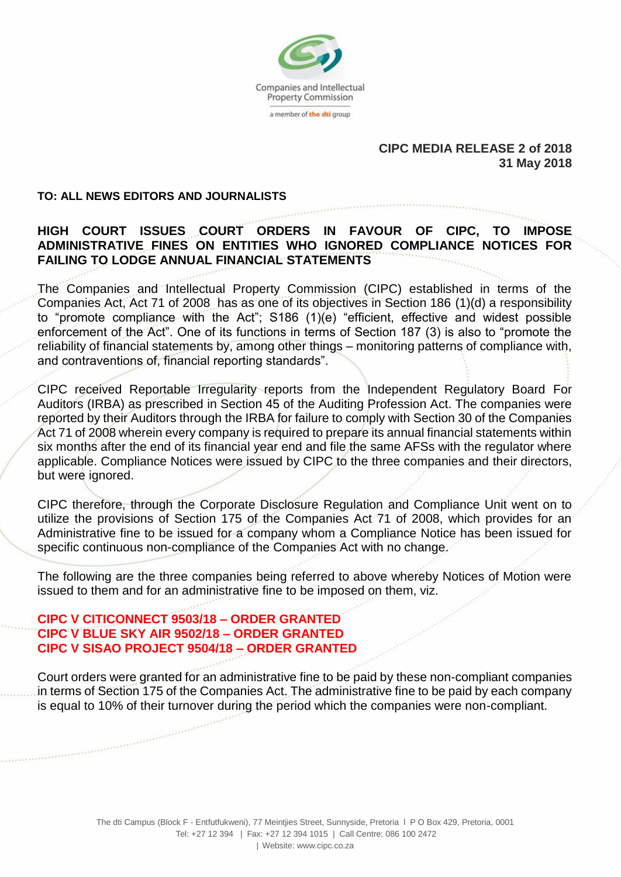

## **CIPC MEDIA RELEASE 2 of 2018 31 May 2018**

#### **TO: ALL NEWS EDITORS AND JOURNALISTS**

# **HIGH COURT ISSUES COURT ORDERS IN FAVOUR OF CIPC, TO IMPOSE ADMINISTRATIVE FINES ON ENTITIES WHO IGNORED COMPLIANCE NOTICES FOR FAILING TO LODGE ANNUAL FINANCIAL STATEMENTS**

The Companies and Intellectual Property Commission (CIPC) established in terms of the Companies Act, Act 71 of 2008 has as one of its objectives in Section 186 (1)(d) a responsibility to "promote compliance with the Act"; S186 (1)(e) "efficient, effective and widest possible enforcement of the Act". One of its functions in terms of Section 187 (3) is also to "promote the reliability of financial statements by, among other things – monitoring patterns of compliance with, and contraventions of, financial reporting standards".

CIPC received Reportable Irregularity reports from the Independent Regulatory Board For Auditors (IRBA) as prescribed in Section 45 of the Auditing Profession Act. The companies were reported by their Auditors through the IRBA for failure to comply with Section 30 of the Companies Act 71 of 2008 wherein every company is required to prepare its annual financial statements within six months after the end of its financial year end and file the same AFSs with the regulator where applicable. Compliance Notices were issued by CIPC to the three companies and their directors, but were ignored.

CIPC therefore, through the Corporate Disclosure Regulation and Compliance Unit went on to utilize the provisions of Section 175 of the Companies Act 71 of 2008, which provides for an Administrative fine to be issued for a company whom a Compliance Notice has been issued for specific continuous non-compliance of the Companies Act with no change.

The following are the three companies being referred to above whereby Notices of Motion were issued to them and for an administrative fine to be imposed on them, viz.

## **CIPC V CITICONNECT 9503/18 – ORDER GRANTED CIPC V BLUE SKY AIR 9502/18 – ORDER GRANTED CIPC V SISAO PROJECT 9504/18 – ORDER GRANTED**

Court orders were granted for an administrative fine to be paid by these non-compliant companies in terms of Section 175 of the Companies Act. The administrative fine to be paid by each company is equal to 10% of their turnover during the period which the companies were non-compliant.